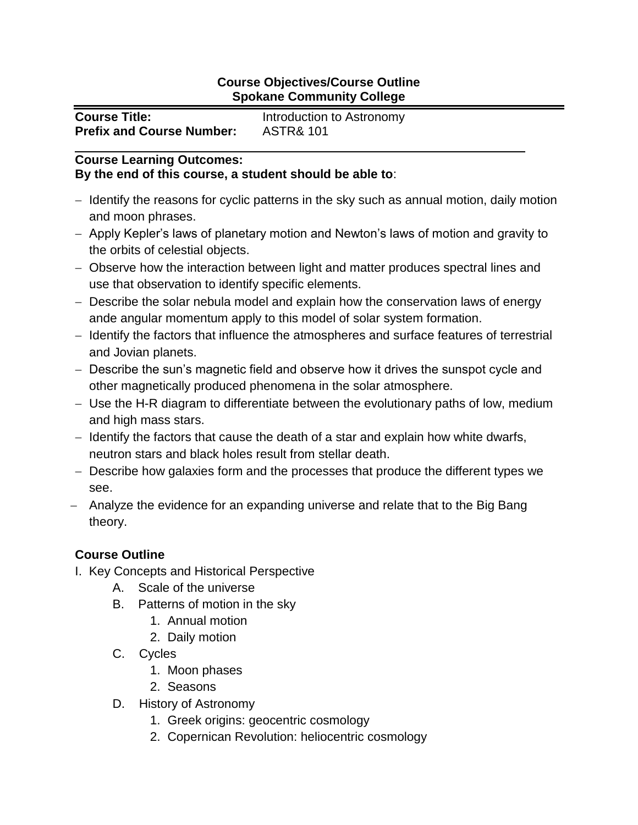## **Course Objectives/Course Outline Spokane Community College**

| <b>Course Title:</b>             | Introduction to Astronomy |
|----------------------------------|---------------------------|
| <b>Prefix and Course Number:</b> | <b>ASTR&amp; 101</b>      |

## **Course Learning Outcomes: By the end of this course, a student should be able to**:

- Identify the reasons for cyclic patterns in the sky such as annual motion, daily motion and moon phrases.
- Apply Kepler's laws of planetary motion and Newton's laws of motion and gravity to the orbits of celestial objects.
- Observe how the interaction between light and matter produces spectral lines and use that observation to identify specific elements.
- Describe the solar nebula model and explain how the conservation laws of energy ande angular momentum apply to this model of solar system formation.
- Identify the factors that influence the atmospheres and surface features of terrestrial and Jovian planets.
- Describe the sun's magnetic field and observe how it drives the sunspot cycle and other magnetically produced phenomena in the solar atmosphere.
- Use the H-R diagram to differentiate between the evolutionary paths of low, medium and high mass stars.
- $-$  Identify the factors that cause the death of a star and explain how white dwarfs, neutron stars and black holes result from stellar death.
- Describe how galaxies form and the processes that produce the different types we see.
- Analyze the evidence for an expanding universe and relate that to the Big Bang theory.

## **Course Outline**

- I. Key Concepts and Historical Perspective
	- A. Scale of the universe
	- B. Patterns of motion in the sky
		- 1. Annual motion
		- 2. Daily motion
	- C. Cycles
		- 1. Moon phases
		- 2. Seasons
	- D. History of Astronomy
		- 1. Greek origins: geocentric cosmology
		- 2. Copernican Revolution: heliocentric cosmology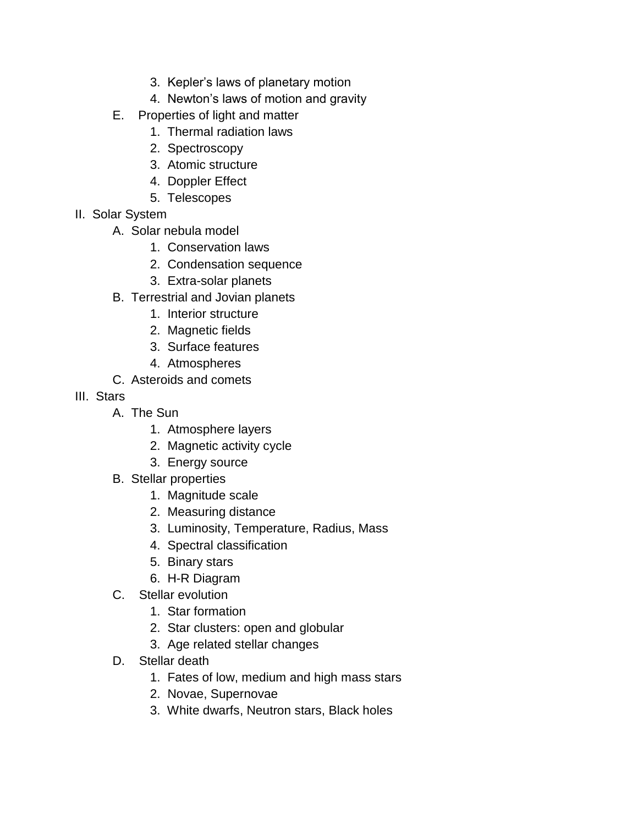- 3. Kepler's laws of planetary motion
- 4. Newton's laws of motion and gravity
- E. Properties of light and matter
	- 1. Thermal radiation laws
	- 2. Spectroscopy
	- 3. Atomic structure
	- 4. Doppler Effect
	- 5. Telescopes
- II. Solar System
	- A. Solar nebula model
		- 1. Conservation laws
		- 2. Condensation sequence
		- 3. Extra-solar planets
	- B. Terrestrial and Jovian planets
		- 1. Interior structure
		- 2. Magnetic fields
		- 3. Surface features
		- 4. Atmospheres
	- C. Asteroids and comets
- III. Stars
	- A. The Sun
		- 1. Atmosphere layers
		- 2. Magnetic activity cycle
		- 3. Energy source
	- B. Stellar properties
		- 1. Magnitude scale
		- 2. Measuring distance
		- 3. Luminosity, Temperature, Radius, Mass
		- 4. Spectral classification
		- 5. Binary stars
		- 6. H-R Diagram
	- C. Stellar evolution
		- 1. Star formation
		- 2. Star clusters: open and globular
		- 3. Age related stellar changes
	- D. Stellar death
		- 1. Fates of low, medium and high mass stars
		- 2. Novae, Supernovae
		- 3. White dwarfs, Neutron stars, Black holes